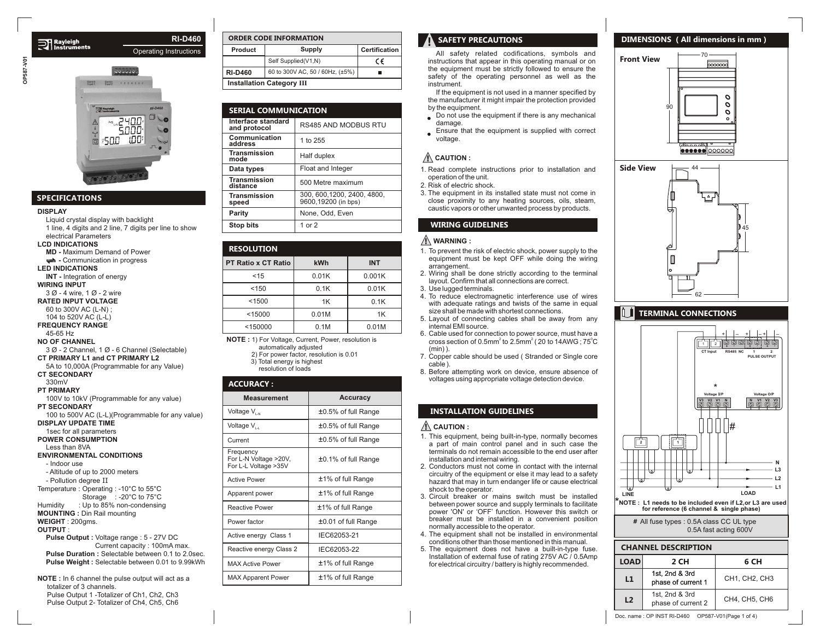



# **SPECIFICATIONS**

#### **DISPLAY**

Liquid crystal display with backlight 1 line, 4 digits and 2 line, 7 digits per line to show electrical Parameters **LCD INDICATIONS MD -** Maximum Demand of Power **- Communication in progress LED INDICATIONS INT -** Integration of energy **WIRING INPUT** 3 Ø - 4 wire, 1 Ø - 2 wire **RATED INPUT VOLTAGE** 60 to 300V AC (L-N) ; 104 to 520V AC (L-L) **FREQUENCY RANGE** 45-65 Hz **NO OF CHANNEL** 3 Ø - 2 Channel, 1 Ø - 6 Channel (Selectable) **CT PRIMARY L1 and CT PRIMARY L2** 5A to 10,000A (Programmable for any Value) **CT SECONDARY** 330mV **PT PRIMARY** 100V to 10kV (Programmable for any value) **PT SECONDARY** 100 to 500V AC (L-L)(Programmable for any value) **DISPLAY UPDATE TIME** 1sec for all parameters **POWER CONSUMPTION** Less than 8VA **ENVIRONMENTAL CONDITIONS** - Indoor use - Altitude of up to 2000 meters - Pollution degree II Temperature : Operating : -10°C to 55°C Humidity : Up to 85% non-condensing **MOUNTING :** Din Rail mounting **WEIGHT** : 200gms. **OUTPUT** : **Pulse Output :** Voltage range : 5 - 27V DC Storage : -20°C to 75°C

 Current capacity : 100mA max. **Pulse Duration :** Selectable between 0.1 to 2.0sec. **Pulse Weight :** Selectable between 0.01 to 9.99kWh

**NOTE :** In 6 channel the pulse output will act as a totalizer of 3 channels. Pulse Output 1 -Totalizer of Ch1, Ch2, Ch3 Pulse Output 2- Totalizer of Ch4, Ch5, Ch6

| <b>ORDER CODE INFORMATION</b>    |                                 |    |  |
|----------------------------------|---------------------------------|----|--|
| Product                          | <b>Certification</b>            |    |  |
|                                  | Self Supplied(V1,N)             | ce |  |
| <b>RI-D460</b>                   | 60 to 300V AC, 50 / 60Hz, (±5%) |    |  |
| <b>Installation Category III</b> |                                 |    |  |

| <b>SERIAL COMMUNICATION</b>        |                                                |  |
|------------------------------------|------------------------------------------------|--|
| Interface standard<br>and protocol | <b>RS485 AND MODBUS RTU</b>                    |  |
| Communication<br>address           | 1 to 255                                       |  |
| <b>Transmission</b><br>mode        | Half duplex                                    |  |
| Data types                         | Float and Integer                              |  |
| <b>Transmission</b><br>distance    | 500 Metre maximum                              |  |
| <b>Transmission</b><br>speed       | 300.600.1200.2400.4800.<br>9600,19200 (in bps) |  |
| Parity                             | None, Odd, Even                                |  |
| <b>Stop bits</b>                   | 1 or $2$                                       |  |
|                                    |                                                |  |

| <b>RESOLUTION</b>          |       |            |  |  |
|----------------------------|-------|------------|--|--|
| <b>PT Ratio x CT Ratio</b> | kWh   | <b>INT</b> |  |  |
| < 15                       | 0.01K | 0.001K     |  |  |
| < 150                      | 0.1K  | 0.01K      |  |  |
| < 1500                     | 1K    | 0.1K       |  |  |
| < 15000                    | 0.01M | 1K         |  |  |
| < 150000                   | 0.1M  | 0.01M      |  |  |

**NOTE :** 1) For Voltage, Current, Power, resolution is automatically adjusted

> 2) For power factor, resolution is 0.01 3) Total energy is highest resolution of loads

#### **ACCURACY :**

| <b>Measurement</b>                                                                | Accuracy            |  |
|-----------------------------------------------------------------------------------|---------------------|--|
| Voltage V <sub>I-N</sub>                                                          | ±0.5% of full Range |  |
| Voltage V <sub>I-I</sub>                                                          | ±0.5% of full Range |  |
| Current                                                                           | ±0.5% of full Range |  |
| Frequency<br>For L-N Voltage >20V,<br>±0.1% of full Range<br>For L-L Voltage >35V |                     |  |
| <b>Active Power</b>                                                               | ±1% of full Range   |  |
| ±1% of full Range<br>Apparent power                                               |                     |  |
| Reactive Power                                                                    | ±1% of full Range   |  |
| Power factor                                                                      | ±0.01 of full Range |  |
| Active energy Class 1                                                             | IEC62053-21         |  |
| Reactive energy Class 2                                                           | IEC62053-22         |  |
| <b>MAX Active Power</b>                                                           | ±1% of full Range   |  |
| <b>MAX Apparent Power</b>                                                         | ±1% of full Range   |  |

# **SAFETY PRECAUTIONS**

All safety related codifications, symbols and instructions that appear in this operating manual or on the equipment must be strictly followed to ensure the safety of the operating personnel as well as the instrument.

If the equipment is not used in a manner specified by the manufacturer it might impair the protection provided by the equipment.

- Do not use the equipment if there is any mechanical damage
- Ensure that the equipment is supplied with correct  $\bullet$ voltage.

# **CAUTION :**

- 1. Read complete instructions prior to installation and operation of the unit.
- 2. Risk of electric shock.
- 3. The equipment in its installed state must not come in close proximity to any heating sources, oils, steam, caustic vapors or other unwanted process by products.

# **WIRING GUIDELINES**

#### **WARNING :**

- 1. To prevent the risk of electric shock, power supply to the equipment must be kept OFF while doing the wiring arrangement.
- 2. Wiring shall be done strictly according to the terminal layout. Confirm that all connections are correct.
- 3. Use lugged terminals.
- 4. To reduce electromagnetic interference use of wires with adequate ratings and twists of the same in equal size shall be made with shortest connections.
- 5. Layout of connecting cables shall be away from any internal EMI source.
- 6. Cable used for connection to power source, must have a cross section of 0.5mm<sup>2</sup> to 2.5mm<sup>2</sup> ( 20 to 14AWG ;  $75^{\circ}$ C (min) ).
- 7. Copper cable should be used ( Stranded or Single core cable ).
- 8. Before attempting work on device, ensure absence of voltages using appropriate voltage detection device.

## **INSTALLATION GUIDELINES**

#### **CAUTION :**

- 1. This equipment, being built-in-type, normally becomes a part of main control panel and in such case the terminals do not remain accessible to the end user after installation and internal wiring.
- 2. Conductors must not come in contact with the internal circuitry of the equipment or else it may lead to a safety hazard that may in turn endanger life or cause electrical shock to the operator.
- 3. Circuit breaker or mains switch must be installed between power source and supply terminals to facilitate power 'ON' or 'OFF' function. However this switch or breaker must be installed in a convenient position normally accessible to the operator.
- 4. The equipment shall not be installed in environmental conditions other than those mentioned in this manual.
- . The equipment does not have a built-in-type fuse. 5 Installation of external fuse of rating 275V AC / 0.5Amp for electrical circuitry / battery is highly recommended.

## **DIMENSIONS ( All dimensions in mm )**

70 **Front View** 0000000  $\overline{O}$  $\mathbf{o}$ 90  $\sigma$  $\ddot{\phantom{a}}$  $\overline{5555}$ <u> ●●●●●● |○○○○○○</u>



# **TERMINAL CONNECTIONS**

**LINE LOAD L1 L2 L3 N 2 1 V3 V2 V1 N I N V1 V2 V3 RS485 NC - - 1 PULSE OUTPUT 2** + $+$   $+$ **Voltage I/P Voltage O/P CT** Input 4 **: 1 2 || 4 ما بعد الأولى** المسلم المسلم المسلم المسلم المسلم المسلم المسلم المسلم المسلم المسلم المسلم المسلم +# **\*NOTE : L1 needs to be included even if L2,or L3 are used for reference (6 channel & single phase)** \*

> All fuse types : 0.5A class CC UL type **#** 0.5A fast acting 600V

#### **CHANNEL DESCRIPTION**

| <b>LOAD</b><br>2 CH |                                      | 6 CH          |  |
|---------------------|--------------------------------------|---------------|--|
| L1                  | 1st, 2nd & 3rd<br>phase of current 1 | CH1, CH2, CH3 |  |
| L <sub>2</sub>      | 1st, 2nd & 3rd<br>phase of current 2 | CH4, CH5, CH6 |  |

Doc. name : OP INST RI-D460 OP587-V01(Page 1 of 4)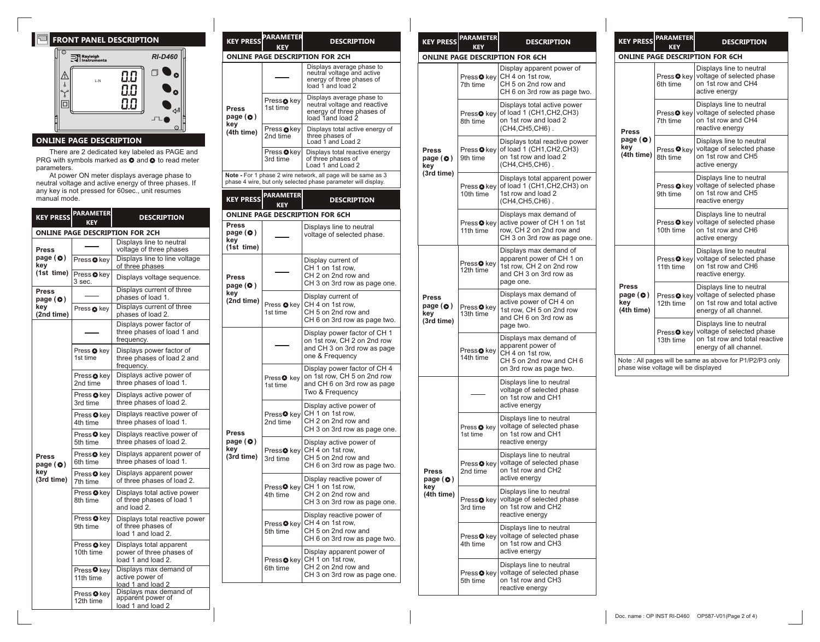# **FRONT PANEL DESCRIPTION**



# **ONLINE PAGE DESCRIPTION**

There are 2 dedicated key labeled as PAGE and PRG with symbols marked as  $\bullet$  and  $\bullet$  to read meter parameters.

At power ON meter displays average phase to neutral voltage and active energy of three phases. If any key is not pressed for 60sec., unit resumes manual mode.

|                                        | <b>KEY PRESS PARAMETER</b><br><b>KEY</b> | <b>DESCRIPTION</b>                                                        | ONI                |
|----------------------------------------|------------------------------------------|---------------------------------------------------------------------------|--------------------|
|                                        |                                          | <b>ONLINE PAGE DESCRIPTION FOR 2CH</b>                                    | Pres<br>pag        |
| Press                                  |                                          | Displays line to neutral<br>voltage of three phases                       | key<br>(1st        |
| page $\odot$<br>key                    | Press <sup>O</sup> key                   | Displays line to line voltage<br>of three phases                          |                    |
| (1st time)                             | Press <sup>O</sup> key<br>3 sec.         | Displays voltage sequence.                                                | Pres<br>pag        |
| Press<br>page $\left( \bullet \right)$ |                                          | Displays current of three<br>phases of load 1.                            | key<br>(2nc        |
| key<br>(2nd time)                      | Press & key                              | Displays current of three<br>phases of load 2.                            |                    |
|                                        |                                          | Displays power factor of<br>three phases of load 1 and<br>frequency.      |                    |
|                                        | Press <sup>O</sup> key<br>1st time       | Displays power factor of<br>three phases of load 2 and<br>frequency.      |                    |
|                                        | Press <sup>o</sup> key<br>2nd time       | Displays active power of<br>three phases of load 1.                       |                    |
|                                        | Press <b>O</b> key<br>3rd time           | Displays active power of<br>three phases of load 2.                       |                    |
|                                        | Press <sup>O</sup> key<br>4th time       | Displays reactive power of<br>three phases of load 1.                     |                    |
|                                        | Press <sup>O</sup> kev<br>5th time       | Displays reactive power of<br>three phases of load 2.                     | <b>Pres</b><br>pag |
| <b>Press</b><br>page $\odot$           | Press <sup>o</sup> key<br>6th time       | Displays apparent power of<br>three phases of load 1.                     | key<br>(3rd        |
| key<br>(3rd time)                      | Press <sup>O</sup> key<br>7th time       | Displays apparent power<br>of three phases of load 2.                     |                    |
|                                        | Press <sup>Okey</sup><br>8th time        | Displays total active power<br>of three phases of load 1<br>and load 2.   |                    |
|                                        | Press <sup>O</sup> key<br>9th time       | Displays total reactive power<br>of three phases of<br>load 1 and load 2. |                    |
|                                        | Press <b>O</b> key<br>10th time          | Displays total apparent<br>power of three phases of<br>load 1 and load 2. |                    |
|                                        | Press <sup>O</sup> key<br>11th time      | Displays max demand of<br>active power of<br>load 1 and load 2            |                    |
|                                        | Press <sup>O</sup> key<br>12th time      | Displays max demand of<br>apparent power of<br>load 1 and load 2          |                    |

| <b>KEY PRESS</b>                              | <b>PARAMETER</b><br>KFV            | <b>DESCRIPTION</b>                                                                                                             |
|-----------------------------------------------|------------------------------------|--------------------------------------------------------------------------------------------------------------------------------|
|                                               |                                    | <b>ONLINE PAGE DESCRIPTION FOR 2CH</b>                                                                                         |
|                                               |                                    | Displays average phase to<br>neutral voltage and active<br>energy of three phases of<br>load 1 and load 2                      |
| Press<br>page $\odot$ )<br>key                | Press <b>⊙</b> key<br>1st time     | Displays average phase to<br>neutral voltage and reactive<br>energy of three phases of<br>load 1and load 2                     |
| (4th time)                                    | Press ●key<br>2nd time             | Displays total active energy of<br>three phases of<br>Load 1 and Load 2                                                        |
|                                               | Press @key<br>3rd time             | Displays total reactive energy<br>of three phases of<br>Load 1 and Load 2                                                      |
|                                               |                                    | Note - For 1 phase 2 wire network, all page will be same as 3<br>phase 4 wire, but only selected phase parameter will display. |
| <b>KEY PRESS</b>                              | <b>PARAMETER</b><br><b>KEY</b>     | <b>DESCRIPTION</b>                                                                                                             |
|                                               |                                    | <b>ONLINE PAGE DESCRIPTION FOR 6CH</b>                                                                                         |
| <b>Press</b><br>page (O)<br>key<br>(1st time) |                                    | Displays line to neutral<br>voltage of selected phase.                                                                         |
| <b>Press</b><br>page $\left(\bullet\right)$   |                                    | Display current of<br>CH 1 on 1st row.<br>CH 2 on 2nd row and<br>CH 3 on 3rd row as page one.                                  |
| key<br>(2nd time)                             | Press <sup>O</sup> key<br>1st time | Display current of<br>CH 4 on 1st row,<br>CH 5 on 2nd row and<br>CH 6 on 3rd row as page two.                                  |
|                                               |                                    | Display power factor of CH 1<br>on 1st row, CH 2 on 2nd row<br>and CH 3 on 3rd row as page<br>one & Frequency                  |
|                                               | Press <sup>o</sup> key<br>1st time | Display power factor of CH 4<br>on 1st row, CH 5 on 2nd row<br>and CH 6 on 3rd row as page<br>Two & Frequency                  |
| Press                                         | Press <sup>o</sup> key<br>2nd time | Display active power of<br>CH 1 on 1st row,<br>CH 2 on 2nd row and<br>CH 3 on 3rd row as page one.                             |
| page (O)<br>key<br>(3rd time)                 | Press <b>O</b> key<br>3rd time     | Display active power of<br>CH 4 on 1st row,<br>CH 5 on 2nd row and<br>CH 6 on 3rd row as page two.                             |
|                                               | Press <sup>o</sup> kev<br>4th time | Display reactive power of<br>CH 1 on 1st row,<br>CH 2 on 2nd row and<br>CH 3 on 3rd row as page one.                           |
|                                               | Press <sup>o</sup> key<br>5th time | Display reactive power of<br>CH 4 on 1st row,<br>CH 5 on 2nd row and<br>CH 6 on 3rd row as page two.                           |
|                                               | Press●key<br>6th time              | Display apparent power of<br>CH 1 on 1st row,<br>CH 2 on 2nd row and<br>CH 3 on 3rd row as page one.                           |
|                                               |                                    |                                                                                                                                |

| <b>KEY PRESS</b>         | <b>PARAMETER</b><br>KEY             | <b>DESCRIPTION</b>                                                                                                     |                                                   | <b>KEY PRESS</b>                                                                           | <b>PARAMETER</b><br>KFY                                                                    | <b>DESCRIPTION</b>                                                                                        |                                                                                              |
|--------------------------|-------------------------------------|------------------------------------------------------------------------------------------------------------------------|---------------------------------------------------|--------------------------------------------------------------------------------------------|--------------------------------------------------------------------------------------------|-----------------------------------------------------------------------------------------------------------|----------------------------------------------------------------------------------------------|
|                          |                                     | <b>ONLINE PAGE DESCRIPTION FOR 6CH</b>                                                                                 |                                                   |                                                                                            |                                                                                            | <b>ONLINE PAGE DESCRIPTION FOR 6CH</b>                                                                    |                                                                                              |
|                          | Press <sup>O</sup> key<br>7th time  | Display apparent power of<br>CH 4 on 1st row,<br>CH 5 on 2nd row and<br>CH 6 on 3rd row as page two.                   |                                                   |                                                                                            | Press <sup>O</sup> key<br>6th time                                                         | Displays line to neutral<br>voltage of selected pha<br>on 1st row and CH4<br>active energy                |                                                                                              |
|                          | Press <sup>O</sup> key<br>8th time  | Displays total active power<br>of load 1 (CH1,CH2,CH3)<br>on 1st row and load 2<br>(CH4, CH5, CH6).                    |                                                   | <b>Press</b><br>page $\left( \bullet \right)$<br>key<br>(4th time)                         |                                                                                            | Press <sup>O</sup> key<br>7th time                                                                        | Displays line to neutral<br>voltage of selected pha<br>on 1st row and CH4<br>reactive energy |
| Press<br>page (O)<br>key | Press <sup>O</sup> key<br>9th time  | Displays total reactive power<br>of load 1 (CH1, CH2, CH3)<br>on 1st row and load 2<br>(CH4, CH5, CH6).                |                                                   |                                                                                            | Press <sup>O</sup> kev<br>8th time                                                         | Displays line to neutral<br>voltage of selected pha<br>on 1st row and CH5<br>active energy                |                                                                                              |
| (3rd time)               | Press <sup>o</sup> key<br>10th time | Displays total apparent power<br>of load 1 (CH1, CH2, CH3) on<br>1st row and load 2<br>(CH4, CH5, CH6).                |                                                   |                                                                                            | Press <sup>O</sup> key<br>9th time                                                         | Displays line to neutral<br>voltage of selected pha<br>on 1st row and CH5<br>reactive energy              |                                                                                              |
|                          | Press <sup>O</sup> key<br>11th time | Displays max demand of<br>active power of CH 1 on 1st<br>row. CH 2 on 2nd row and<br>CH 3 on 3rd row as page one.      |                                                   | Press <sup>O</sup> key<br>10th time                                                        | Displays line to neutral<br>voltage of selected pha<br>on 1st row and CH6<br>active energy |                                                                                                           |                                                                                              |
|                          | Press <sup>O</sup> key<br>12th time | Displays max demand of<br>apparent power of CH 1 on<br>1st row, CH 2 on 2nd row<br>and CH 3 on 3rd row as<br>page one. |                                                   |                                                                                            | Press <sup>O</sup> kev<br>11th time                                                        | Displays line to neutral<br>voltage of selected pha<br>on 1st row and CH6<br>reactive energy.             |                                                                                              |
| Press<br>page (O)<br>key | Press <sup>o</sup> kev<br>13th time | Displays max demand of<br>active power of CH 4 on<br>1st row. CH 5 on 2nd row<br>and CH 6 on 3rd row as                | <b>Press</b><br>page $\odot$<br>key<br>(4th time) |                                                                                            | Press <sup>O</sup> key<br>12th time                                                        | Displays line to neutral<br>voltage of selected pha<br>on 1st row and total ac<br>energy of all channel.  |                                                                                              |
| (3rd time)               | Press <sup>o</sup> key              | page two.<br>Displays max demand of<br>apparent power of<br>CH 4 on 1st row,                                           |                                                   |                                                                                            | Press <sup>O</sup> key<br>13th time                                                        | Displays line to neutral<br>voltage of selected pha<br>on 1st row and total rea<br>energy of all channel. |                                                                                              |
|                          | 14th time                           | CH 5 on 2nd row and CH 6<br>on 3rd row as page two.                                                                    |                                                   | Note: All pages will be same as above for P1/P2/P3<br>phase wise voltage will be displayed |                                                                                            |                                                                                                           |                                                                                              |
|                          |                                     | Displays line to neutral<br>voltage of selected phase<br>on 1st row and CH1<br>active energy                           |                                                   |                                                                                            |                                                                                            |                                                                                                           |                                                                                              |
|                          | Press <sup>o</sup> key<br>1st time  | Displays line to neutral<br>voltage of selected phase<br>on 1st row and CH1<br>reactive energy                         |                                                   |                                                                                            |                                                                                            |                                                                                                           |                                                                                              |
| <b>Press</b><br>page (O) | Press <sup>o</sup> key<br>2nd time  | Displays line to neutral<br>voltage of selected phase<br>on 1st row and CH2<br>active energy                           |                                                   |                                                                                            |                                                                                            |                                                                                                           |                                                                                              |
| key<br>(4th time)        | Press <b>☉</b> key<br>3rd time      | Displays line to neutral<br>voltage of selected phase<br>on 1st row and CH2<br>reactive energy                         |                                                   |                                                                                            |                                                                                            |                                                                                                           |                                                                                              |
|                          | Press <sup>O</sup> key<br>4th time  | Displays line to neutral<br>voltage of selected phase<br>on 1st row and CH3<br>active energy                           |                                                   |                                                                                            |                                                                                            |                                                                                                           |                                                                                              |
|                          | Press <sup>O</sup> key<br>5th time  | Displays line to neutral<br>voltage of selected phase<br>on 1st row and CH3<br>reactive energy                         |                                                   |                                                                                            |                                                                                            |                                                                                                           |                                                                                              |
|                          |                                     |                                                                                                                        |                                                   |                                                                                            |                                                                                            |                                                                                                           |                                                                                              |

| <b>KEY PRESS</b>                                       | <b>PARAMETER</b><br><b>KEY</b>       | <b>DESCRIPTION</b>                                                                                               |
|--------------------------------------------------------|--------------------------------------|------------------------------------------------------------------------------------------------------------------|
|                                                        |                                      | <b>ONLINE PAGE DESCRIPTION FOR 6CH</b>                                                                           |
|                                                        | Press <sup>O</sup> key<br>6th time   | Displays line to neutral<br>voltage of selected phase<br>on 1st row and CH4<br>active energy                     |
| Press                                                  | Press <sup>O</sup> key<br>7th time   | Displays line to neutral<br>voltage of selected phase<br>on 1st row and CH4<br>reactive energy                   |
| page $\left($ $\bullet$ $\right)$<br>key<br>(4th time) | Press <sup>O</sup> key<br>8th time   | Displays line to neutral<br>voltage of selected phase<br>on 1st row and CH5<br>active energy                     |
|                                                        | Press <sup>O</sup> key<br>9th time   | Displays line to neutral<br>voltage of selected phase<br>on 1st row and CH5<br>reactive energy                   |
|                                                        | Press <sup>O</sup> key<br>10th time  | Displays line to neutral<br>voltage of selected phase<br>on 1st row and CH6<br>active energy                     |
|                                                        | Press <sup>O</sup> key<br>11th time  | Displays line to neutral<br>voltage of selected phase<br>on 1st row and CH6<br>reactive energy.                  |
| Press<br>page $\odot$ )<br>kev<br>(4th time)           | Press <sup>o</sup> kev<br>12th time  | Displays line to neutral<br>voltage of selected phase<br>on 1st row and total active<br>energy of all channel.   |
|                                                        | Press <sup>o</sup> kev<br>13th time  | Displays line to neutral<br>voltage of selected phase<br>on 1st row and total reactive<br>energy of all channel. |
|                                                        | phase wise voltage will be displayed | Note : All pages will be same as above for P1/P2/P3 only                                                         |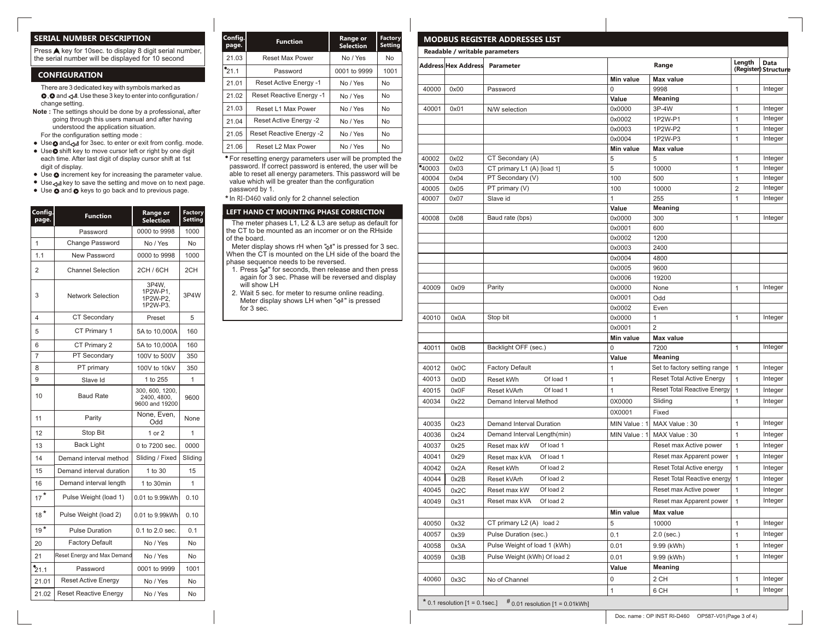## **SERIAL NUMBER DESCRIPTION**

Press A key for 10sec. to display 8 digit serial number, the serial number will be displayed for 10 second

#### **CONFIGURATION**

 There are 3 dedicated key with symbols marked as  $\bullet$ ,  $\bullet$  and  $\rightleftarrows$ . Use these 3 key to enter into configuration / change setting.

- **Note :** The settings should be done by a professional**,** after going through this users manual and after having understood the application situation. For the configuration setting mode :
- Use and if or 3sec. to enter or exit from config. mode.
- Use shift key to move cursor left or right by one digit each time. After last digit of display cursor shift at 1st digit of display.
- Use  $\bullet$  increment key for increasing the parameter value.
- Use  $\leftrightarrow$  key to save the setting and move on to next page.
- $\bullet$  Use  $\bullet$  and  $\bullet$  keys to go back and to previous page.

| Config<br>page.   | <b>Function</b>              | <b>Range or</b><br><b>Selection</b>              | Factory<br><b>Setting</b> |
|-------------------|------------------------------|--------------------------------------------------|---------------------------|
|                   | Password                     | 0000 to 9998                                     | 1000                      |
| $\overline{1}$    | Change Password              | No / Yes                                         | No                        |
| 1.1               | New Password                 | 0000 to 9998                                     | 1000                      |
| 2                 | <b>Channel Selection</b>     | 2CH / 6CH                                        | 2CH                       |
| 3                 | <b>Network Selection</b>     | 3P4W.<br>1P2W-P1.<br>1P2W-P2,<br>1P2W-P3.        | 3P4W                      |
| 4                 | <b>CT Secondary</b>          | Preset                                           | 5                         |
| 5                 | CT Primary 1                 | 5A to 10,000A                                    | 160                       |
| 6                 | CT Primary 2                 | 5A to 10,000A                                    | 160                       |
| 7                 | PT Secondary                 | 100V to 500V                                     | 350                       |
| 8                 | PT primary                   | 100V to 10kV                                     | 350                       |
| 9                 | Slave Id                     | 1 to 255                                         | 1                         |
| 10                | <b>Baud Rate</b>             | 300, 600, 1200,<br>2400, 4800,<br>9600 and 19200 | 9600                      |
| 11                | Parity                       | None, Even,<br>Odd                               | None                      |
| 12                | <b>Stop Bit</b>              | 1 or $2$                                         | $\mathbf{1}$              |
| 13                | <b>Back Light</b>            | 0 to 7200 sec.                                   | 0000                      |
| 14                | Demand interval method       | Sliding / Fixed                                  | Sliding                   |
| 15                | Demand interval duration     | 1 to 30                                          | 15                        |
| 16                | Demand interval length       | 1 to 30min                                       | 1                         |
| $17$ <sup>*</sup> | Pulse Weight (load 1)        | 0.01 to 9.99kWh                                  | 0.10                      |
| $18*$             | Pulse Weight (load 2)        | 0.01 to 9.99kWh                                  | 0.10                      |
| $19*$             | <b>Pulse Duration</b>        | $0.1$ to $2.0$ sec.                              | 0.1                       |
| 20                | <b>Factory Default</b>       | No / Yes                                         | No                        |
| 21                | Reset Energy and Max Demand  | No / Yes                                         | No                        |
| 21.1              | Password                     | 0001 to 9999                                     | 1001                      |
| 21.01             | <b>Reset Active Energy</b>   | No / Yes                                         | No                        |
| 21.02             | <b>Reset Reactive Energy</b> | No / Yes                                         | No                        |

| Config.<br><b>Function</b><br>page. |                                      | Range or<br><b>Selection</b> | Factory<br><b>Setting</b> |
|-------------------------------------|--------------------------------------|------------------------------|---------------------------|
| 21.03                               | <b>Reset Max Power</b>               | No / Yes                     | <b>No</b>                 |
| $^{\bullet}$ 21.1                   | 0001 to 9999<br>Password             |                              | 1001                      |
| 21.01                               | Reset Active Energy -1<br>No / Yes   |                              | <b>No</b>                 |
| 21.02                               | Reset Reactive Energy -1             | No / Yes                     | <b>No</b>                 |
| 21.03                               | Reset L1 Max Power<br>No / Yes       |                              | <b>No</b>                 |
| 21.04                               | Reset Active Energy -2               | No / Yes                     | <b>No</b>                 |
| 21.05                               | Reset Reactive Energy -2<br>No / Yes |                              | <b>No</b>                 |
| 21.06                               | Reset L2 Max Power                   | No / Yes                     | No                        |

For resetting energy parameters user will be prompted the password. If correct password is entered, the user will be able to reset all energy parameters. This password will be value which will be greater than the configuration password by 1.

In RI-D460 valid only for 2 channel selection **\***

#### **LEFT HAND CT MOUNTING PHASE CORRECTION**

The meter phases L1, L2 & L3 are setup as default for the CT to be mounted as an incomer or on the RHside of the board.

- Meter display shows rH when "<a>y" is pressed for 3 sec. When the CT is mounted on the LH side of the board the phase sequence needs to be reversed.
- 1. Press "" for seconds, then release and then press again for 3 sec. Phase will be reversed and display will show LH
- 2. Wait 5 sec. for meter to resume online reading. Meter display shows LH when " (+ " is pressed for 3 sec.

|       | Readable / writable parameters |                              |                  |                                    |                                |         |
|-------|--------------------------------|------------------------------|------------------|------------------------------------|--------------------------------|---------|
|       | Address Hex Address Parameter  |                              |                  | Range                              | Length<br>(Register) Structure | Data    |
|       |                                |                              | Min value        | Max value                          |                                |         |
| 40000 | 0x00                           | Password                     | 0                | 9998                               | 1                              | Integer |
|       |                                |                              | Value            | <b>Meaning</b>                     |                                |         |
| 40001 | 0x01                           | N/W selection                | 0x0000           | 3P-4W                              | 1                              | Integer |
|       |                                |                              | 0x0002           | 1P2W-P1                            | 1                              | Integer |
|       |                                |                              | 0x0003           | 1P2W-P2                            | 1                              | Integer |
|       |                                |                              | 0x0004           | 1P2W-P3                            | $\mathbf{1}$                   | Integer |
|       |                                |                              | Min value        | <b>Max value</b>                   |                                |         |
| 40002 | 0x02                           | CT Secondary (A)             | 5                | 5                                  | 1                              | Integer |
| 40003 | 0x03                           | CT primary L1 (A) [load 1]   | 5                | 10000                              | 1                              | Integer |
| 40004 | 0x04                           | PT Secondary (V)             | 100              | 500                                | 1                              | Integer |
| 40005 | 0x05                           | PT primary (V)               | 100              | 10000                              | $\overline{2}$                 | Integer |
| 40007 | 0x07                           | Slave id                     | $\mathbf{1}$     | 255                                | $\mathbf{1}$                   | Integer |
|       |                                |                              | Value            | <b>Meaning</b>                     |                                |         |
| 40008 | 0x08                           | Baud rate (bps)              | 0x0000           | 300                                | 1                              | Integer |
|       |                                |                              | 0x0001           | 600                                |                                |         |
|       |                                |                              | 0x0002           | 1200                               |                                |         |
|       |                                |                              | 0x0003           | 2400                               |                                |         |
|       |                                |                              | 0x0004           | 4800                               |                                |         |
|       |                                |                              | 0x0005           | 9600                               |                                |         |
|       |                                |                              | 0x0006           | 19200                              |                                |         |
| 40009 | 0x09                           | Parity                       | 0x0000           | None                               | 1                              | Integer |
|       |                                |                              | 0x0001           | Odd                                |                                |         |
| 40010 | 0x0A                           | Stop bit                     | 0x0002<br>0x0000 | Even<br>1                          | 1                              | Integer |
|       |                                |                              | 0x0001           | $\overline{2}$                     |                                |         |
|       |                                |                              | Min value        | <b>Max value</b>                   |                                |         |
| 40011 | 0x0B                           | Backlight OFF (sec.)         | $\Omega$         | 7200                               | 1                              | Integer |
|       |                                |                              | Value            | <b>Meaning</b>                     |                                |         |
| 40012 | 0x0C                           | <b>Factory Default</b>       | $\mathbf{1}$     | Set to factory setting range       | $\mathbf{1}$                   | Integer |
| 40013 |                                | Of load 1                    |                  | Reset Total Active Energy          |                                |         |
|       | 0x0D                           | Reset kWh                    | $\mathbf{1}$     |                                    | $\mathbf{1}$                   | Integer |
| 40015 | 0x0F                           | Reset kVArh<br>Of load 1     | 1                | <b>Reset Total Reactive Energy</b> | $\mathbf{1}$                   | Integer |
| 40034 | 0x22                           | Demand Interval Method       | 0X0000           | Sliding                            | 1                              | Integer |
|       |                                |                              | 0X0001           | Fixed                              |                                |         |
| 40035 | 0x23                           | Demand Interval Duration     | MIN Value: 1     | MAX Value: 30                      | 1                              | Integer |
| 40036 | 0x24                           | Demand Interval Length(min)  | MIN Value: 1     | MAX Value: 30                      | 1                              | Integer |
| 40037 | 0x25                           | Of load 1<br>Reset max kW    |                  | Reset max Active power             | 1                              | Integer |
| 40041 | 0x29                           | Of load 1<br>Reset max kVA   |                  | Reset max Apparent power           | 1                              | Integer |
| 40042 | 0x2A                           | Reset kWh<br>Of load 2       |                  | Reset Total Active energy          | $\mathbf{1}$                   | Integer |
| 40044 | 0x2B                           | Reset kVArh<br>Of load 2     |                  | Reset Total Reactive energy        | $\mathbf{1}$                   | Integer |
| 40045 | 0x2C                           | Reset max kW<br>Of load 2    |                  | Reset max Active power             | $\mathbf{1}$                   | Integer |
| 40049 |                                | Of load 2                    |                  | Reset max Apparent power           | $\mathbf{1}$                   | Integer |
|       | 0x31                           | Reset max kVA                |                  |                                    |                                |         |
|       |                                |                              | Min value        | Max value                          |                                |         |
| 40050 | 0x32                           | CT primary L2 (A) load 2     | 5                | 10000                              | 1                              | Integer |
| 40057 | 0x39                           | Pulse Duration (sec.)        | 0.1              | $2.0$ (sec.)                       | 1                              | Integer |
| 40058 | 0x3A                           | Pulse Weight of load 1 (kWh) | 0.01             | 9.99 (kWh)                         | 1                              | Integer |
| 40059 | 0x3B                           | Pulse Weight (kWh) Of load 2 | 0.01             | 9.99 (kWh)                         | 1                              | Integer |
|       |                                |                              | Value            | Meaning                            |                                |         |
|       |                                |                              |                  |                                    |                                | Integer |
| 40060 | 0x3C                           | No of Channel                | 0                | 2 CH                               | $\mathbf{1}$                   |         |

Doc. name : OP INST RI-D460 OP587-V01(Page 3 of 4)